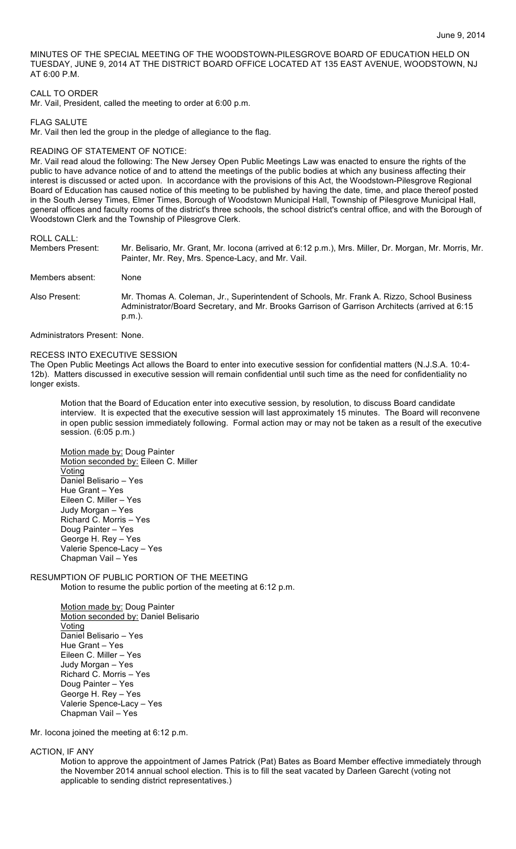MINUTES OF THE SPECIAL MEETING OF THE WOODSTOWN-PILESGROVE BOARD OF EDUCATION HELD ON TUESDAY, JUNE 9, 2014 AT THE DISTRICT BOARD OFFICE LOCATED AT 135 EAST AVENUE, WOODSTOWN, NJ AT 6:00 P.M.

#### CALL TO ORDER

Mr. Vail, President, called the meeting to order at 6:00 p.m.

FLAG SALUTE

Mr. Vail then led the group in the pledge of allegiance to the flag.

#### READING OF STATEMENT OF NOTICE:

Mr. Vail read aloud the following: The New Jersey Open Public Meetings Law was enacted to ensure the rights of the public to have advance notice of and to attend the meetings of the public bodies at which any business affecting their interest is discussed or acted upon. In accordance with the provisions of this Act, the Woodstown-Pilesgrove Regional Board of Education has caused notice of this meeting to be published by having the date, time, and place thereof posted in the South Jersey Times, Elmer Times, Borough of Woodstown Municipal Hall, Township of Pilesgrove Municipal Hall, general offices and faculty rooms of the district's three schools, the school district's central office, and with the Borough of Woodstown Clerk and the Township of Pilesgrove Clerk.

ROLL CALL:

| Members Present: | Mr. Belisario, Mr. Grant, Mr. Iocona (arrived at 6:12 p.m.), Mrs. Miller, Dr. Morgan, Mr. Morris, Mr.<br>Painter, Mr. Rey, Mrs. Spence-Lacy, and Mr. Vail.                                                |
|------------------|-----------------------------------------------------------------------------------------------------------------------------------------------------------------------------------------------------------|
| Members absent:  | <b>None</b>                                                                                                                                                                                               |
| Also Present:    | Mr. Thomas A. Coleman, Jr., Superintendent of Schools, Mr. Frank A. Rizzo, School Business<br>Administrator/Board Secretary, and Mr. Brooks Garrison of Garrison Architects (arrived at 6:15<br>$p.m.$ ). |

Administrators Present: None.

## RECESS INTO EXECUTIVE SESSION

The Open Public Meetings Act allows the Board to enter into executive session for confidential matters (N.J.S.A. 10:4- 12b). Matters discussed in executive session will remain confidential until such time as the need for confidentiality no longer exists.

Motion that the Board of Education enter into executive session, by resolution, to discuss Board candidate interview. It is expected that the executive session will last approximately 15 minutes. The Board will reconvene in open public session immediately following. Formal action may or may not be taken as a result of the executive session. (6:05 p.m.)

Motion made by: Doug Painter Motion seconded by: Eileen C. Miller Voting Daniel Belisario – Yes Hue Grant – Yes Eileen C. Miller – Yes Judy Morgan – Yes Richard C. Morris – Yes Doug Painter – Yes George H. Rey – Yes Valerie Spence-Lacy – Yes Chapman Vail – Yes

## RESUMPTION OF PUBLIC PORTION OF THE MEETING Motion to resume the public portion of the meeting at 6:12 p.m.

Motion made by: Doug Painter Motion seconded by: Daniel Belisario Voting Daniel Belisario – Yes Hue Grant – Yes Eileen C. Miller – Yes Judy Morgan – Yes Richard C. Morris – Yes Doug Painter – Yes George H. Rey – Yes Valerie Spence-Lacy – Yes Chapman Vail – Yes

Mr. Iocona joined the meeting at 6:12 p.m.

#### ACTION, IF ANY

Motion to approve the appointment of James Patrick (Pat) Bates as Board Member effective immediately through the November 2014 annual school election. This is to fill the seat vacated by Darleen Garecht (voting not applicable to sending district representatives.)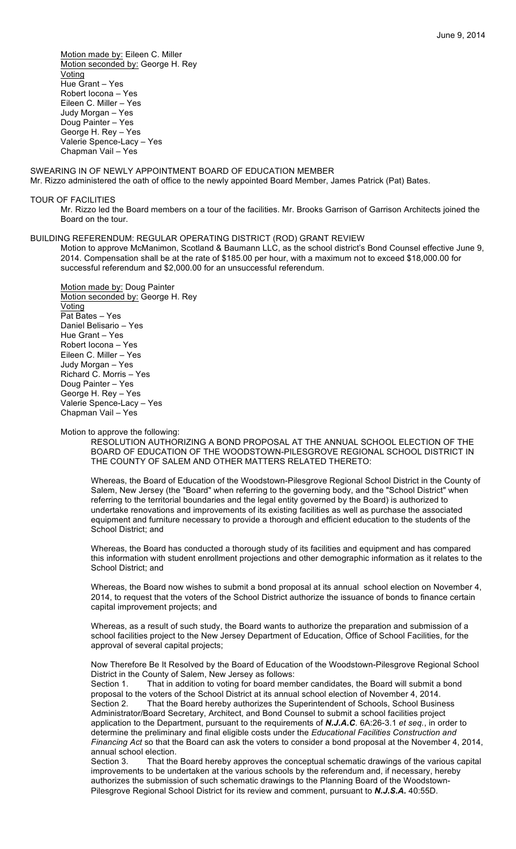Motion made by: Eileen C. Miller Motion seconded by: George H. Rey Voting Hue Grant – Yes Robert Iocona – Yes Eileen C. Miller – Yes Judy Morgan – Yes Doug Painter – Yes George H. Rey – Yes Valerie Spence-Lacy – Yes Chapman Vail – Yes

SWEARING IN OF NEWLY APPOINTMENT BOARD OF EDUCATION MEMBER Mr. Rizzo administered the oath of office to the newly appointed Board Member, James Patrick (Pat) Bates.

#### TOUR OF FACILITIES

Mr. Rizzo led the Board members on a tour of the facilities. Mr. Brooks Garrison of Garrison Architects joined the Board on the tour.

#### BUILDING REFERENDUM: REGULAR OPERATING DISTRICT (ROD) GRANT REVIEW

Motion to approve McManimon, Scotland & Baumann LLC, as the school district's Bond Counsel effective June 9, 2014. Compensation shall be at the rate of \$185.00 per hour, with a maximum not to exceed \$18,000.00 for successful referendum and \$2,000.00 for an unsuccessful referendum.

Motion made by: Doug Painter Motion seconded by: George H. Rey Voting Pat Bates – Yes Daniel Belisario – Yes Hue Grant – Yes Robert Iocona – Yes Eileen C. Miller – Yes Judy Morgan – Yes Richard C. Morris – Yes Doug Painter – Yes George H. Rey – Yes Valerie Spence-Lacy – Yes Chapman Vail – Yes

Motion to approve the following:

RESOLUTION AUTHORIZING A BOND PROPOSAL AT THE ANNUAL SCHOOL ELECTION OF THE BOARD OF EDUCATION OF THE WOODSTOWN-PILESGROVE REGIONAL SCHOOL DISTRICT IN THE COUNTY OF SALEM AND OTHER MATTERS RELATED THERETO:

Whereas, the Board of Education of the Woodstown-Pilesgrove Regional School District in the County of Salem, New Jersey (the "Board" when referring to the governing body, and the "School District" when referring to the territorial boundaries and the legal entity governed by the Board) is authorized to undertake renovations and improvements of its existing facilities as well as purchase the associated equipment and furniture necessary to provide a thorough and efficient education to the students of the School District; and

Whereas, the Board has conducted a thorough study of its facilities and equipment and has compared this information with student enrollment projections and other demographic information as it relates to the School District; and

Whereas, the Board now wishes to submit a bond proposal at its annual school election on November 4, 2014, to request that the voters of the School District authorize the issuance of bonds to finance certain capital improvement projects; and

Whereas, as a result of such study, the Board wants to authorize the preparation and submission of a school facilities project to the New Jersey Department of Education, Office of School Facilities, for the approval of several capital projects;

Now Therefore Be It Resolved by the Board of Education of the Woodstown-Pilesgrove Regional School District in the County of Salem, New Jersey as follows:

Section 1. That in addition to voting for board member candidates, the Board will submit a bond proposal to the voters of the School District at its annual school election of November 4, 2014. Section 2. That the Board hereby authorizes the Superintendent of Schools, School Business Administrator/Board Secretary, Architect, and Bond Counsel to submit a school facilities project application to the Department, pursuant to the requirements of *N.J.A.C*. 6A:26-3.1 *et seq.*, in order to determine the preliminary and final eligible costs under the *Educational Facilities Construction and Financing Act* so that the Board can ask the voters to consider a bond proposal at the November 4, 2014, annual school election.

Section 3. That the Board hereby approves the conceptual schematic drawings of the various capital improvements to be undertaken at the various schools by the referendum and, if necessary, hereby authorizes the submission of such schematic drawings to the Planning Board of the Woodstown-Pilesgrove Regional School District for its review and comment, pursuant to *N.J.S.A.* 40:55D.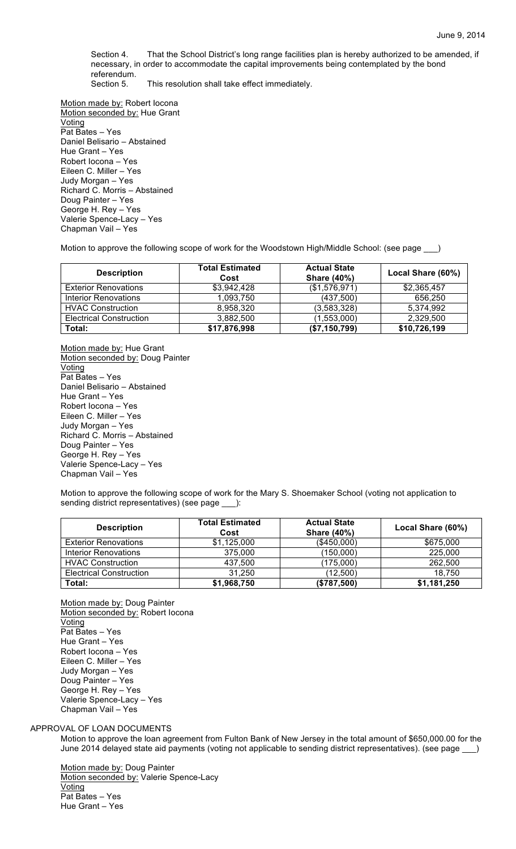Section 4. That the School District's long range facilities plan is hereby authorized to be amended, if necessary, in order to accommodate the capital improvements being contemplated by the bond referendum.

Section 5. This resolution shall take effect immediately.

Motion made by: Robert Iocona Motion seconded by: Hue Grant Voting Pat Bates – Yes Daniel Belisario – Abstained Hue Grant – Yes Robert Iocona – Yes Eileen C. Miller – Yes Judy Morgan – Yes Richard C. Morris – Abstained Doug Painter – Yes George H. Rey – Yes Valerie Spence-Lacy – Yes Chapman Vail – Yes

Motion to approve the following scope of work for the Woodstown High/Middle School: (see page \_\_\_)

| <b>Description</b>             | <b>Total Estimated</b><br>Cost | <b>Actual State</b><br><b>Share (40%)</b> | Local Share (60%) |
|--------------------------------|--------------------------------|-------------------------------------------|-------------------|
| <b>Exterior Renovations</b>    | \$3,942,428                    | (\$1,576,971)                             | \$2,365,457       |
| <b>Interior Renovations</b>    | 1,093,750                      | (437,500)                                 | 656,250           |
| <b>HVAC Construction</b>       | 8,958,320                      | (3,583,328)                               | 5,374,992         |
| <b>Electrical Construction</b> | 3,882,500                      | (1,553,000)                               | 2,329,500         |
| Total:                         | \$17,876,998                   | (\$7,150,799)                             | \$10,726,199      |

Motion made by: Hue Grant Motion seconded by: Doug Painter Voting Pat Bates – Yes Daniel Belisario – Abstained Hue Grant – Yes Robert Iocona – Yes Eileen C. Miller – Yes Judy Morgan – Yes Richard C. Morris – Abstained Doug Painter – Yes George H. Rey – Yes Valerie Spence-Lacy – Yes Chapman Vail – Yes

Motion to approve the following scope of work for the Mary S. Shoemaker School (voting not application to sending district representatives) (see page \_\_\_):

| <b>Description</b>             | <b>Total Estimated</b><br>Cost | <b>Actual State</b><br><b>Share (40%)</b> | Local Share (60%) |
|--------------------------------|--------------------------------|-------------------------------------------|-------------------|
| <b>Exterior Renovations</b>    | \$1,125,000                    | (\$450,000)                               | \$675,000         |
| Interior Renovations           | 375,000                        | (150,000)                                 | 225,000           |
| <b>HVAC Construction</b>       | 437,500                        | (175,000)                                 | 262,500           |
| <b>Electrical Construction</b> | 31,250                         | (12,500)                                  | 18.750            |
| Total:                         | \$1,968,750                    | (\$787,500)                               | \$1,181,250       |

Motion made by: Doug Painter Motion seconded by: Robert locona **Voting** Pat Bates – Yes Hue Grant – Yes Robert Iocona – Yes Eileen C. Miller – Yes Judy Morgan – Yes Doug Painter – Yes George H. Rey – Yes Valerie Spence-Lacy – Yes Chapman Vail – Yes

## APPROVAL OF LOAN DOCUMENTS

Motion to approve the loan agreement from Fulton Bank of New Jersey in the total amount of \$650,000.00 for the June 2014 delayed state aid payments (voting not applicable to sending district representatives). (see page \_\_\_)

Motion made by: Doug Painter Motion seconded by: Valerie Spence-Lacy Voting Pat Bates – Yes Hue Grant – Yes